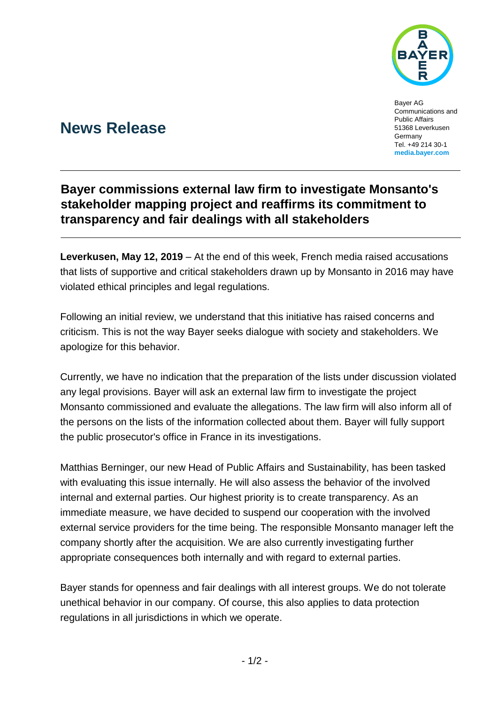

Bayer AG Communications and Public Affairs 51368 Leverkusen **Germany** Tel. +49 214 30-1 **[media.bayer.com](http://media.bayer.de/)**

# **News Release**

## **Bayer commissions external law firm to investigate Monsanto's stakeholder mapping project and reaffirms its commitment to transparency and fair dealings with all stakeholders**

**Leverkusen, May 12, 2019** – At the end of this week, French media raised accusations that lists of supportive and critical stakeholders drawn up by Monsanto in 2016 may have violated ethical principles and legal regulations.

Following an initial review, we understand that this initiative has raised concerns and criticism. This is not the way Bayer seeks dialogue with society and stakeholders. We apologize for this behavior.

Currently, we have no indication that the preparation of the lists under discussion violated any legal provisions. Bayer will ask an external law firm to investigate the project Monsanto commissioned and evaluate the allegations. The law firm will also inform all of the persons on the lists of the information collected about them. Bayer will fully support the public prosecutor's office in France in its investigations.

Matthias Berninger, our new Head of Public Affairs and Sustainability, has been tasked with evaluating this issue internally. He will also assess the behavior of the involved internal and external parties. Our highest priority is to create transparency. As an immediate measure, we have decided to suspend our cooperation with the involved external service providers for the time being. The responsible Monsanto manager left the company shortly after the acquisition. We are also currently investigating further appropriate consequences both internally and with regard to external parties.

Bayer stands for openness and fair dealings with all interest groups. We do not tolerate unethical behavior in our company. Of course, this also applies to data protection regulations in all jurisdictions in which we operate.